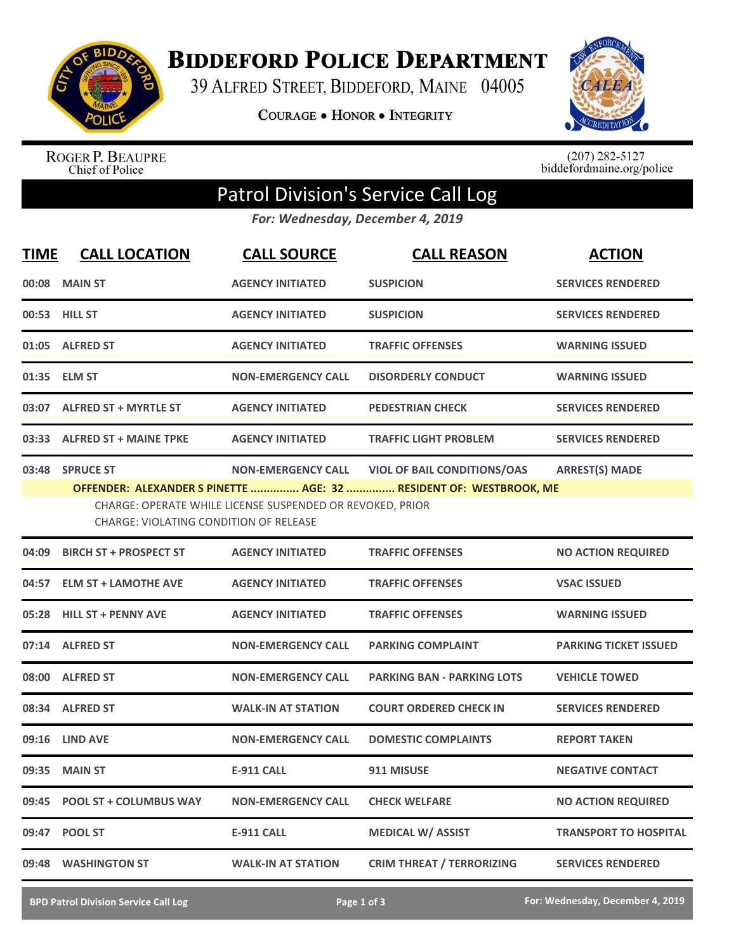

**BIDDEFORD POLICE DEPARTMENT** 

39 ALFRED STREET, BIDDEFORD, MAINE 04005

**COURAGE . HONOR . INTEGRITY** 



ROGER P. BEAUPRE<br>Chief of Police

 $(207)$  282-5127<br>biddefordmaine.org/police

## Patrol Division's Service Call Log

*For: Wednesday, December 4, 2019*

| <b>TIME</b> | <b>CALL LOCATION</b>                                                                                                                                                                                                                                                                     | <b>CALL SOURCE</b>        | <b>CALL REASON</b>                | <b>ACTION</b>                |  |  |
|-------------|------------------------------------------------------------------------------------------------------------------------------------------------------------------------------------------------------------------------------------------------------------------------------------------|---------------------------|-----------------------------------|------------------------------|--|--|
|             | 00:08 MAIN ST                                                                                                                                                                                                                                                                            | <b>AGENCY INITIATED</b>   | <b>SUSPICION</b>                  | <b>SERVICES RENDERED</b>     |  |  |
|             | 00:53 HILL ST                                                                                                                                                                                                                                                                            | <b>AGENCY INITIATED</b>   | <b>SUSPICION</b>                  | <b>SERVICES RENDERED</b>     |  |  |
|             | 01:05 ALFRED ST                                                                                                                                                                                                                                                                          | <b>AGENCY INITIATED</b>   | <b>TRAFFIC OFFENSES</b>           | <b>WARNING ISSUED</b>        |  |  |
|             | 01:35 ELM ST                                                                                                                                                                                                                                                                             | <b>NON-EMERGENCY CALL</b> | <b>DISORDERLY CONDUCT</b>         | <b>WARNING ISSUED</b>        |  |  |
|             | 03:07 ALFRED ST + MYRTLE ST                                                                                                                                                                                                                                                              | <b>AGENCY INITIATED</b>   | <b>PEDESTRIAN CHECK</b>           | <b>SERVICES RENDERED</b>     |  |  |
|             | 03:33 ALFRED ST + MAINE TPKE                                                                                                                                                                                                                                                             | <b>AGENCY INITIATED</b>   | <b>TRAFFIC LIGHT PROBLEM</b>      | <b>SERVICES RENDERED</b>     |  |  |
|             | 03:48 SPRUCE ST<br><b>VIOL OF BAIL CONDITIONS/OAS</b><br><b>ARREST(S) MADE</b><br><b>NON-EMERGENCY CALL</b><br>OFFENDER: ALEXANDER S PINETTE  AGE: 32  RESIDENT OF: WESTBROOK, ME<br>CHARGE: OPERATE WHILE LICENSE SUSPENDED OR REVOKED, PRIOR<br>CHARGE: VIOLATING CONDITION OF RELEASE |                           |                                   |                              |  |  |
| 04:09       | <b>BIRCH ST + PROSPECT ST</b>                                                                                                                                                                                                                                                            | <b>AGENCY INITIATED</b>   | <b>TRAFFIC OFFENSES</b>           | <b>NO ACTION REQUIRED</b>    |  |  |
|             | 04:57 ELM ST + LAMOTHE AVE                                                                                                                                                                                                                                                               | <b>AGENCY INITIATED</b>   | <b>TRAFFIC OFFENSES</b>           | <b>VSAC ISSUED</b>           |  |  |
| 05:28       | <b>HILL ST + PENNY AVE</b>                                                                                                                                                                                                                                                               | <b>AGENCY INITIATED</b>   | <b>TRAFFIC OFFENSES</b>           | <b>WARNING ISSUED</b>        |  |  |
|             | 07:14 ALFRED ST                                                                                                                                                                                                                                                                          | <b>NON-EMERGENCY CALL</b> | <b>PARKING COMPLAINT</b>          | <b>PARKING TICKET ISSUED</b> |  |  |
|             | 08:00 ALFRED ST                                                                                                                                                                                                                                                                          | <b>NON-EMERGENCY CALL</b> | <b>PARKING BAN - PARKING LOTS</b> | <b>VEHICLE TOWED</b>         |  |  |
| 08:34       | <b>ALFRED ST</b>                                                                                                                                                                                                                                                                         | <b>WALK-IN AT STATION</b> | <b>COURT ORDERED CHECK IN</b>     | <b>SERVICES RENDERED</b>     |  |  |
|             | 09:16 LIND AVE                                                                                                                                                                                                                                                                           | <b>NON-EMERGENCY CALL</b> | <b>DOMESTIC COMPLAINTS</b>        | <b>REPORT TAKEN</b>          |  |  |
|             | 09:35 MAIN ST                                                                                                                                                                                                                                                                            | <b>E-911 CALL</b>         | 911 MISUSE                        | <b>NEGATIVE CONTACT</b>      |  |  |
|             | 09:45 POOL ST + COLUMBUS WAY                                                                                                                                                                                                                                                             | <b>NON-EMERGENCY CALL</b> | <b>CHECK WELFARE</b>              | <b>NO ACTION REQUIRED</b>    |  |  |
|             | 09:47 POOL ST                                                                                                                                                                                                                                                                            | <b>E-911 CALL</b>         | <b>MEDICAL W/ ASSIST</b>          | <b>TRANSPORT TO HOSPITAL</b> |  |  |
|             | 09:48 WASHINGTON ST                                                                                                                                                                                                                                                                      | <b>WALK-IN AT STATION</b> | <b>CRIM THREAT / TERRORIZING</b>  | <b>SERVICES RENDERED</b>     |  |  |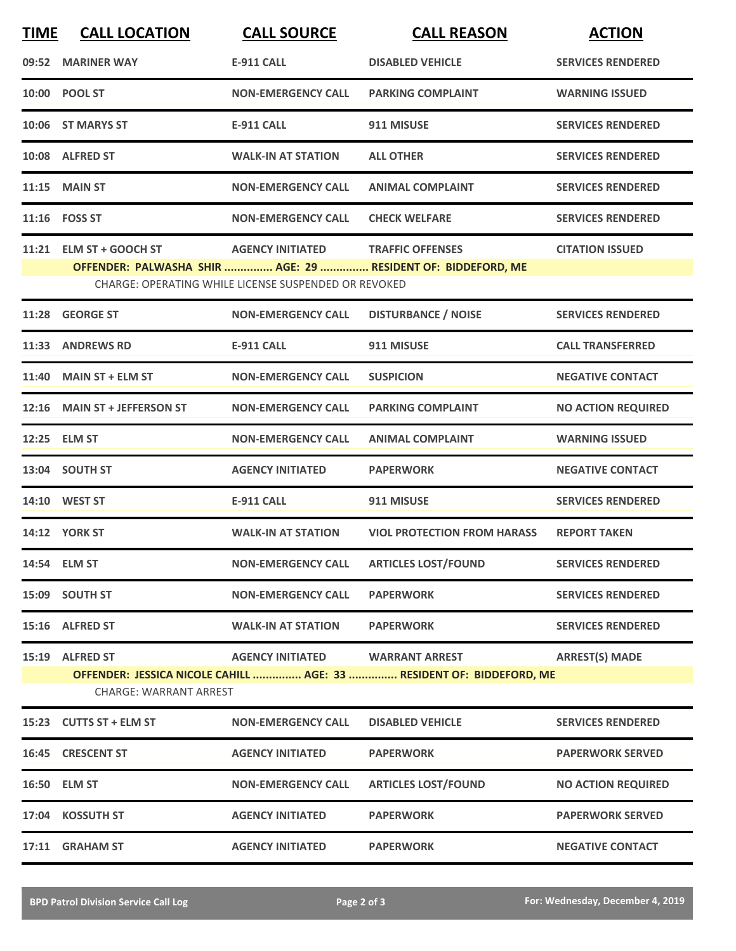| <b>TIME</b> | <b>CALL LOCATION</b>                             | <b>CALL SOURCE</b>                                                              | <b>CALL REASON</b>                                                                                      | <b>ACTION</b>             |
|-------------|--------------------------------------------------|---------------------------------------------------------------------------------|---------------------------------------------------------------------------------------------------------|---------------------------|
|             | 09:52 MARINER WAY                                | <b>E-911 CALL</b>                                                               | <b>DISABLED VEHICLE</b>                                                                                 | <b>SERVICES RENDERED</b>  |
|             | 10:00 POOL ST                                    | <b>NON-EMERGENCY CALL</b>                                                       | <b>PARKING COMPLAINT</b>                                                                                | <b>WARNING ISSUED</b>     |
|             | 10:06 ST MARYS ST                                | <b>E-911 CALL</b>                                                               | 911 MISUSE                                                                                              | <b>SERVICES RENDERED</b>  |
|             | 10:08 ALFRED ST                                  | <b>WALK-IN AT STATION</b>                                                       | <b>ALL OTHER</b>                                                                                        | <b>SERVICES RENDERED</b>  |
|             | 11:15 MAIN ST                                    | <b>NON-EMERGENCY CALL</b>                                                       | <b>ANIMAL COMPLAINT</b>                                                                                 | <b>SERVICES RENDERED</b>  |
|             | 11:16    FOSS ST                                 | <b>NON-EMERGENCY CALL</b>                                                       | <b>CHECK WELFARE</b>                                                                                    | <b>SERVICES RENDERED</b>  |
|             | 11:21 ELM ST + GOOCH ST                          | <b>AGENCY INITIATED</b><br>CHARGE: OPERATING WHILE LICENSE SUSPENDED OR REVOKED | <b>TRAFFIC OFFENSES</b><br>OFFENDER: PALWASHA SHIR  AGE: 29  RESIDENT OF: BIDDEFORD, ME                 | <b>CITATION ISSUED</b>    |
| 11:28       | <b>GEORGE ST</b>                                 | <b>NON-EMERGENCY CALL</b>                                                       | <b>DISTURBANCE / NOISE</b>                                                                              | <b>SERVICES RENDERED</b>  |
|             | 11:33 ANDREWS RD                                 | <b>E-911 CALL</b>                                                               | 911 MISUSE                                                                                              | <b>CALL TRANSFERRED</b>   |
|             | 11:40 MAIN ST + ELM ST                           | <b>NON-EMERGENCY CALL</b>                                                       | <b>SUSPICION</b>                                                                                        | <b>NEGATIVE CONTACT</b>   |
|             | 12:16 MAIN ST + JEFFERSON ST                     | <b>NON-EMERGENCY CALL</b>                                                       | <b>PARKING COMPLAINT</b>                                                                                | <b>NO ACTION REQUIRED</b> |
|             | 12:25 ELM ST                                     | <b>NON-EMERGENCY CALL</b>                                                       | <b>ANIMAL COMPLAINT</b>                                                                                 | <b>WARNING ISSUED</b>     |
|             | 13:04 SOUTH ST                                   | <b>AGENCY INITIATED</b>                                                         | <b>PAPERWORK</b>                                                                                        | <b>NEGATIVE CONTACT</b>   |
|             | 14:10 WEST ST                                    | <b>E-911 CALL</b>                                                               | 911 MISUSE                                                                                              | <b>SERVICES RENDERED</b>  |
|             | <b>14:12 YORK ST</b>                             | <b>WALK-IN AT STATION</b>                                                       | <b>VIOL PROTECTION FROM HARASS</b>                                                                      | <b>REPORT TAKEN</b>       |
|             | 14:54 ELM ST                                     | NON-EMERGENCY CALL ARTICLES LOST/FOUND                                          |                                                                                                         | <b>SERVICES RENDERED</b>  |
|             | 15:09 SOUTH ST                                   | <b>NON-EMERGENCY CALL</b>                                                       | <b>PAPERWORK</b>                                                                                        | <b>SERVICES RENDERED</b>  |
|             | 15:16 ALFRED ST                                  | <b>WALK-IN AT STATION</b>                                                       | <b>PAPERWORK</b>                                                                                        | <b>SERVICES RENDERED</b>  |
|             | 15:19 ALFRED ST<br><b>CHARGE: WARRANT ARREST</b> |                                                                                 | AGENCY INITIATED WARRANT ARREST<br>OFFENDER: JESSICA NICOLE CAHILL  AGE: 33  RESIDENT OF: BIDDEFORD, ME | <b>ARREST(S) MADE</b>     |
|             | 15:23 CUTTS ST + ELM ST                          | <b>NON-EMERGENCY CALL</b>                                                       | <b>DISABLED VEHICLE</b>                                                                                 | <b>SERVICES RENDERED</b>  |
|             | 16:45 CRESCENT ST                                | <b>AGENCY INITIATED</b>                                                         | <b>PAPERWORK</b>                                                                                        | <b>PAPERWORK SERVED</b>   |
|             | 16:50 ELM ST                                     | <b>NON-EMERGENCY CALL</b>                                                       | <b>ARTICLES LOST/FOUND</b>                                                                              | <b>NO ACTION REQUIRED</b> |
|             | 17:04 KOSSUTH ST                                 | <b>AGENCY INITIATED</b>                                                         | <b>PAPERWORK</b>                                                                                        | <b>PAPERWORK SERVED</b>   |
|             | 17:11 GRAHAM ST                                  | <b>AGENCY INITIATED</b>                                                         | <b>PAPERWORK</b>                                                                                        | <b>NEGATIVE CONTACT</b>   |